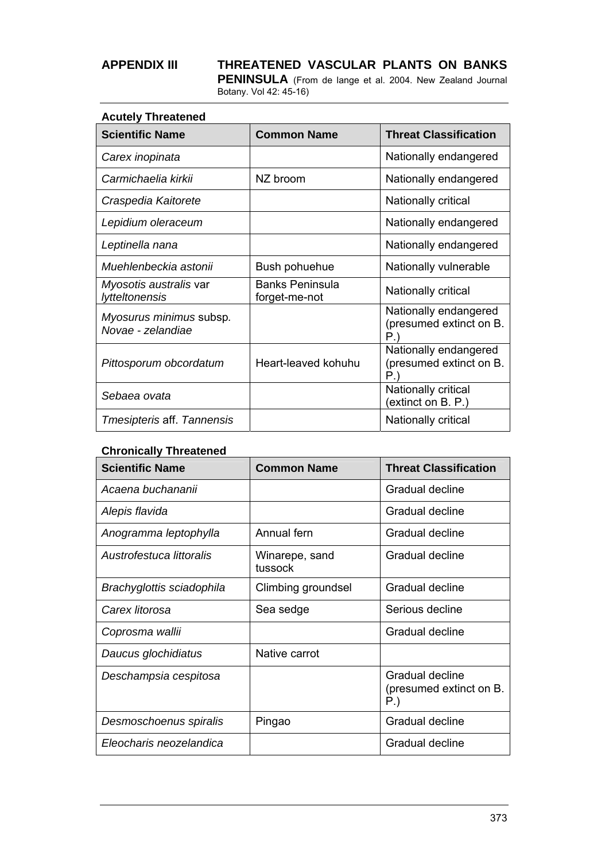**PENINSULA** (From de lange et al. 2004. New Zealand Journal Botany. Vol 42: 45-16)

| <b>Acutely Threatened</b>                    |                                         |                                                             |
|----------------------------------------------|-----------------------------------------|-------------------------------------------------------------|
| <b>Scientific Name</b>                       | <b>Common Name</b>                      | <b>Threat Classification</b>                                |
| Carex inopinata                              |                                         | Nationally endangered                                       |
| Carmichaelia kirkii                          | NZ broom                                | Nationally endangered                                       |
| Craspedia Kaitorete                          |                                         | Nationally critical                                         |
| Lepidium oleraceum                           |                                         | Nationally endangered                                       |
| Leptinella nana                              |                                         | Nationally endangered                                       |
| Muehlenbeckia astonii                        | Bush pohuehue                           | Nationally vulnerable                                       |
| Myosotis australis var<br>lytteltonensis     | <b>Banks Peninsula</b><br>forget-me-not | Nationally critical                                         |
| Myosurus minimus subsp.<br>Novae - zelandiae |                                         | Nationally endangered<br>(presumed extinct on B.<br>$P_{.}$ |
| Pittosporum obcordatum                       | Heart-leaved kohuhu                     | Nationally endangered<br>(presumed extinct on B.<br>P.)     |
| Sebaea ovata                                 |                                         | Nationally critical<br>(extinct on B. P.)                   |
| Tmesipteris aff. Tannensis                   |                                         | Nationally critical                                         |

### **Chronically Threatened**

| <b>Scientific Name</b>    | <b>Common Name</b>        | <b>Threat Classification</b>                      |
|---------------------------|---------------------------|---------------------------------------------------|
| Acaena buchananii         |                           | Gradual decline                                   |
| Alepis flavida            |                           | Gradual decline                                   |
| Anogramma leptophylla     | Annual fern               | Gradual decline                                   |
| Austrofestuca littoralis  | Winarepe, sand<br>tussock | Gradual decline                                   |
| Brachyglottis sciadophila | Climbing groundsel        | Gradual decline                                   |
| Carex litorosa            | Sea sedge                 | Serious decline                                   |
| Coprosma wallii           |                           | Gradual decline                                   |
| Daucus glochidiatus       | Native carrot             |                                                   |
| Deschampsia cespitosa     |                           | Gradual decline<br>(presumed extinct on B.<br>P.) |
| Desmoschoenus spiralis    | Pingao                    | Gradual decline                                   |
| Eleocharis neozelandica   |                           | Gradual decline                                   |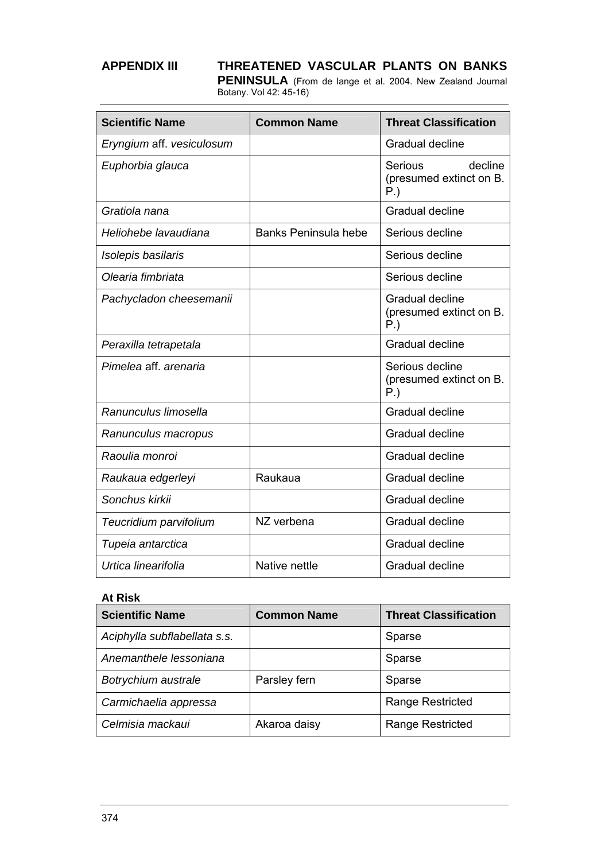**PENINSULA** (From de lange et al. 2004. New Zealand Journal Botany. Vol 42: 45-16)

| <b>Scientific Name</b>    | <b>Common Name</b>          | <b>Threat Classification</b>                            |
|---------------------------|-----------------------------|---------------------------------------------------------|
| Eryngium aff. vesiculosum |                             | Gradual decline                                         |
| Euphorbia glauca          |                             | Serious<br>decline<br>(presumed extinct on B.<br>$P.$ ) |
| Gratiola nana             |                             | Gradual decline                                         |
| Heliohebe lavaudiana      | <b>Banks Peninsula hebe</b> | Serious decline                                         |
| Isolepis basilaris        |                             | Serious decline                                         |
| Olearia fimbriata         |                             | Serious decline                                         |
| Pachycladon cheesemanii   |                             | Gradual decline<br>(presumed extinct on B.<br>$P.$ )    |
| Peraxilla tetrapetala     |                             | Gradual decline                                         |
| Pimelea aff. arenaria     |                             | Serious decline<br>(presumed extinct on B.<br>$P.$ )    |
| Ranunculus limosella      |                             | Gradual decline                                         |
| Ranunculus macropus       |                             | Gradual decline                                         |
| Raoulia monroi            |                             | Gradual decline                                         |
| Raukaua edgerleyi         | Raukaua                     | Gradual decline                                         |
| Sonchus kirkii            |                             | Gradual decline                                         |
| Teucridium parvifolium    | NZ verbena                  | Gradual decline                                         |
| Tupeia antarctica         |                             | Gradual decline                                         |
| Urtica linearifolia       | Native nettle               | Gradual decline                                         |

### **At Risk**

| <b>Scientific Name</b>       | <b>Common Name</b> | <b>Threat Classification</b> |
|------------------------------|--------------------|------------------------------|
| Aciphylla subflabellata s.s. |                    | Sparse                       |
| Anemanthele lessoniana       |                    | Sparse                       |
| Botrychium australe          | Parsley fern       | Sparse                       |
| Carmichaelia appressa        |                    | <b>Range Restricted</b>      |
| Celmisia mackaui             | Akaroa daisy       | Range Restricted             |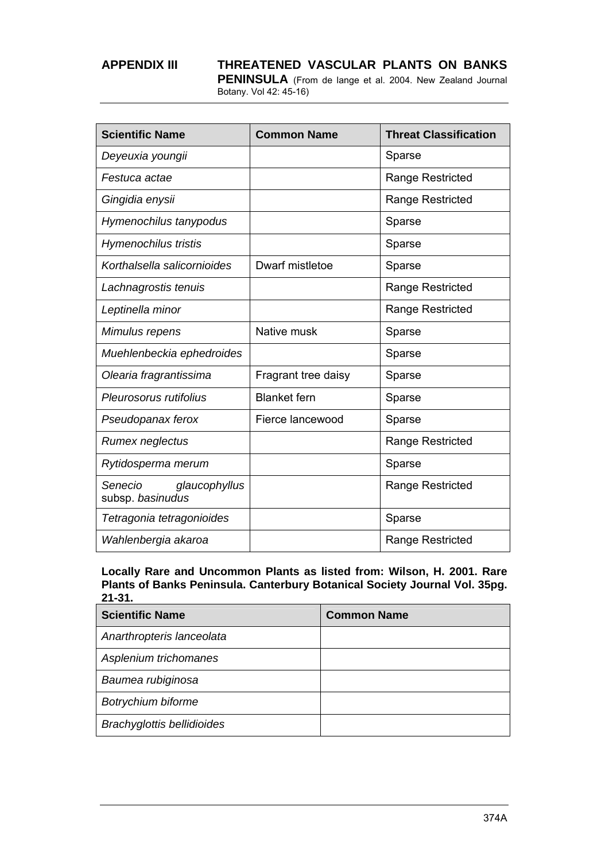**PENINSULA** (From de lange et al. 2004. New Zealand Journal Botany. Vol 42: 45-16)

| <b>Scientific Name</b>                       | <b>Common Name</b>  | <b>Threat Classification</b> |
|----------------------------------------------|---------------------|------------------------------|
| Deyeuxia youngii                             |                     | Sparse                       |
| Festuca actae                                |                     | <b>Range Restricted</b>      |
| Gingidia enysii                              |                     | Range Restricted             |
| Hymenochilus tanypodus                       |                     | Sparse                       |
| <b>Hymenochilus tristis</b>                  |                     | Sparse                       |
| Korthalsella salicornioides                  | Dwarf mistletoe     | Sparse                       |
| Lachnagrostis tenuis                         |                     | Range Restricted             |
| Leptinella minor                             |                     | Range Restricted             |
| Mimulus repens                               | Native musk         | Sparse                       |
| Muehlenbeckia ephedroides                    |                     | Sparse                       |
| Olearia fragrantissima                       | Fragrant tree daisy | Sparse                       |
| Pleurosorus rutifolius                       | <b>Blanket</b> fern | Sparse                       |
| Pseudopanax ferox                            | Fierce lancewood    | Sparse                       |
| Rumex neglectus                              |                     | Range Restricted             |
| Rytidosperma merum                           |                     | Sparse                       |
| Senecio<br>glaucophyllus<br>subsp. basinudus |                     | Range Restricted             |
| Tetragonia tetragonioides                    |                     | Sparse                       |
| Wahlenbergia akaroa                          |                     | Range Restricted             |

**Locally Rare and Uncommon Plants as listed from: Wilson, H. 2001. Rare Plants of Banks Peninsula. Canterbury Botanical Society Journal Vol. 35pg. 21-31.** 

| <b>Scientific Name</b>            | <b>Common Name</b> |
|-----------------------------------|--------------------|
| Anarthropteris lanceolata         |                    |
| Asplenium trichomanes             |                    |
| Baumea rubiginosa                 |                    |
| Botrychium biforme                |                    |
| <b>Brachyglottis bellidioides</b> |                    |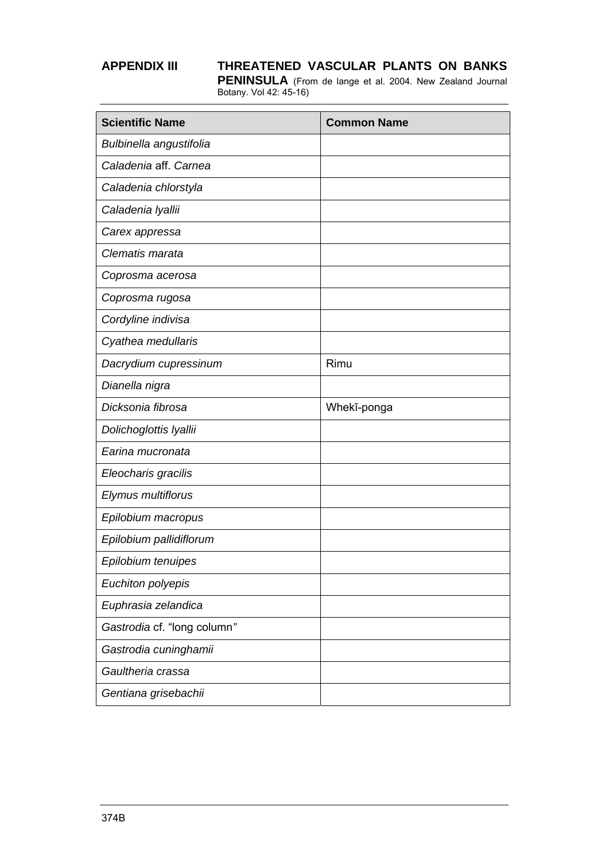| <b>Scientific Name</b>      | <b>Common Name</b> |
|-----------------------------|--------------------|
| Bulbinella angustifolia     |                    |
| Caladenia aff. Carnea       |                    |
| Caladenia chlorstyla        |                    |
| Caladenia Iyallii           |                    |
| Carex appressa              |                    |
| Clematis marata             |                    |
| Coprosma acerosa            |                    |
| Coprosma rugosa             |                    |
| Cordyline indivisa          |                    |
| Cyathea medullaris          |                    |
| Dacrydium cupressinum       | Rimu               |
| Dianella nigra              |                    |
| Dicksonia fibrosa           | Whekī-ponga        |
| Dolichoglottis Iyallii      |                    |
| Earina mucronata            |                    |
| Eleocharis gracilis         |                    |
| Elymus multiflorus          |                    |
| Epilobium macropus          |                    |
| Epilobium pallidiflorum     |                    |
| Epilobium tenuipes          |                    |
| Euchiton polyepis           |                    |
| Euphrasia zelandica         |                    |
| Gastrodia cf. "long column" |                    |
| Gastrodia cuninghamii       |                    |
| Gaultheria crassa           |                    |
| Gentiana grisebachii        |                    |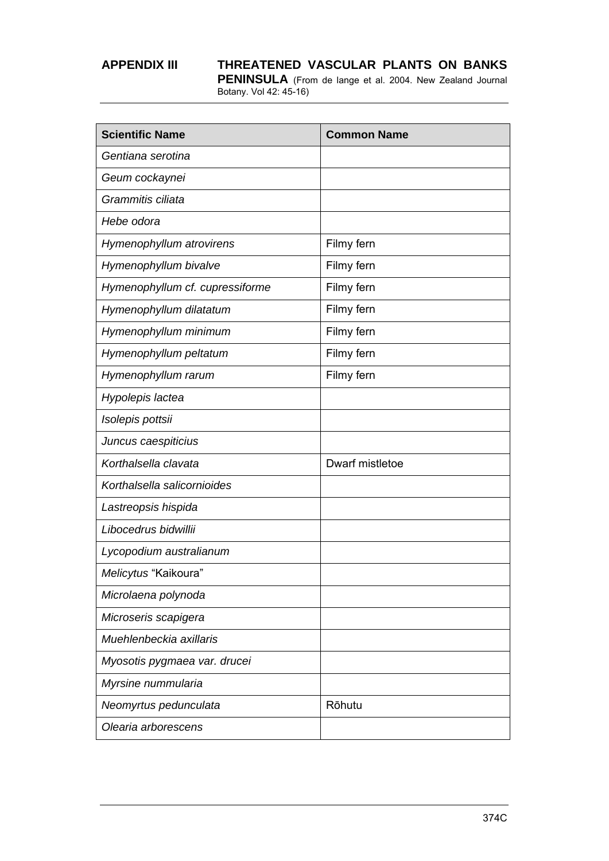| <b>Scientific Name</b>          | <b>Common Name</b> |
|---------------------------------|--------------------|
| Gentiana serotina               |                    |
| Geum cockaynei                  |                    |
| Grammitis ciliata               |                    |
| Hebe odora                      |                    |
| Hymenophyllum atrovirens        | Filmy fern         |
| Hymenophyllum bivalve           | Filmy fern         |
| Hymenophyllum cf. cupressiforme | Filmy fern         |
| Hymenophyllum dilatatum         | Filmy fern         |
| Hymenophyllum minimum           | Filmy fern         |
| Hymenophyllum peltatum          | Filmy fern         |
| Hymenophyllum rarum             | Filmy fern         |
| Hypolepis lactea                |                    |
| Isolepis pottsii                |                    |
| Juncus caespiticius             |                    |
| Korthalsella clavata            | Dwarf mistletoe    |
| Korthalsella salicornioides     |                    |
| Lastreopsis hispida             |                    |
| Libocedrus bidwillii            |                    |
| Lycopodium australianum         |                    |
| Melicytus "Kaikoura"            |                    |
| Microlaena polynoda             |                    |
| Microseris scapigera            |                    |
| Muehlenbeckia axillaris         |                    |
| Myosotis pygmaea var. drucei    |                    |
| Myrsine nummularia              |                    |
| Neomyrtus pedunculata           | Rōhutu             |
| Olearia arborescens             |                    |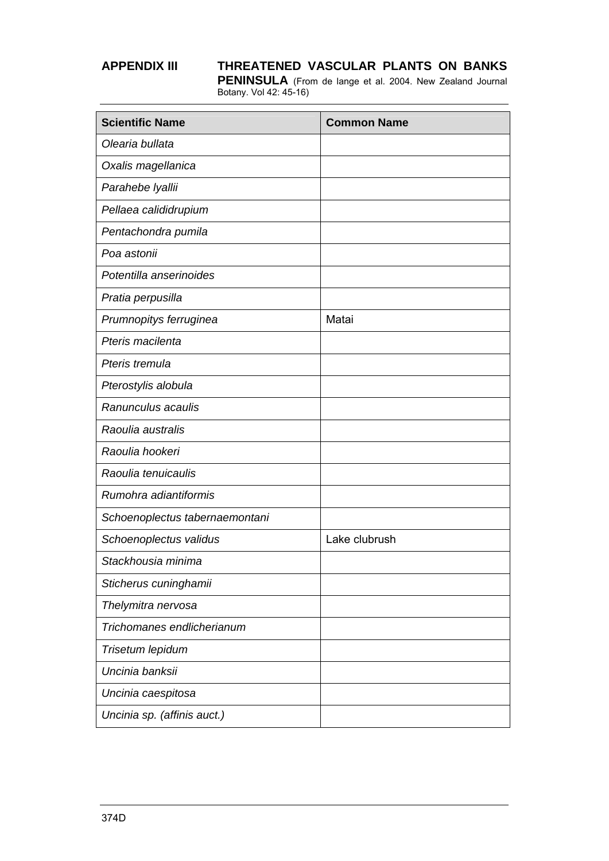| <b>Scientific Name</b>         | <b>Common Name</b> |
|--------------------------------|--------------------|
| Olearia bullata                |                    |
| Oxalis magellanica             |                    |
| Parahebe Iyallii               |                    |
| Pellaea calididrupium          |                    |
| Pentachondra pumila            |                    |
| Poa astonii                    |                    |
| Potentilla anserinoides        |                    |
| Pratia perpusilla              |                    |
| Prumnopitys ferruginea         | Matai              |
| Pteris macilenta               |                    |
| Pteris tremula                 |                    |
| Pterostylis alobula            |                    |
| Ranunculus acaulis             |                    |
| Raoulia australis              |                    |
| Raoulia hookeri                |                    |
| Raoulia tenuicaulis            |                    |
| Rumohra adiantiformis          |                    |
| Schoenoplectus tabernaemontani |                    |
| Schoenoplectus validus         | Lake clubrush      |
| Stackhousia minima             |                    |
| Sticherus cuninghamii          |                    |
| Thelymitra nervosa             |                    |
| Trichomanes endlicherianum     |                    |
| Trisetum lepidum               |                    |
| Uncinia banksii                |                    |
| Uncinia caespitosa             |                    |
| Uncinia sp. (affinis auct.)    |                    |